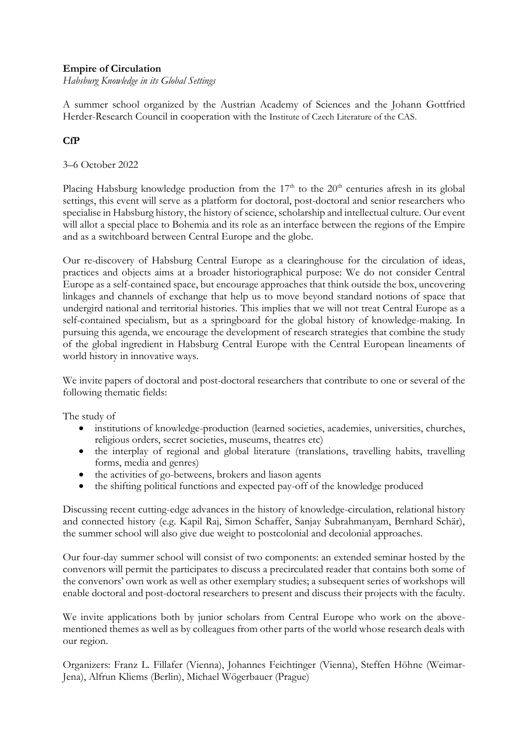## **Empire of Circulation**

*Habsburg Knowledge in its Global Settings*

A summer school organized by the Austrian Academy of Sciences and the Johann Gottfried Herder-Research Council in cooperation with the Institute of Czech Literature of the CAS.

## **CfP**

## 3–6 October 2022

Placing Habsburg knowledge production from the  $17<sup>th</sup>$  to the  $20<sup>th</sup>$  centuries afresh in its global settings, this event will serve as a platform for doctoral, post-doctoral and senior researchers who specialise in Habsburg history, the history of science, scholarship and intellectual culture. Our event will allot a special place to Bohemia and its role as an interface between the regions of the Empire and as a switchboard between Central Europe and the globe.

Our re-discovery of Habsburg Central Europe as a clearinghouse for the circulation of ideas, practices and objects aims at a broader historiographical purpose: We do not consider Central Europe as a self-contained space, but encourage approaches that think outside the box, uncovering linkages and channels of exchange that help us to move beyond standard notions of space that undergird national and territorial histories. This implies that we will not treat Central Europe as a self-contained specialism, but as a springboard for the global history of knowledge-making. In pursuing this agenda, we encourage the development of research strategies that combine the study of the global ingredient in Habsburg Central Europe with the Central European lineaments of world history in innovative ways.

We invite papers of doctoral and post-doctoral researchers that contribute to one or several of the following thematic fields:

The study of

- institutions of knowledge-production (learned societies, academies, universities, churches, religious orders, secret societies, museums, theatres etc)
- the interplay of regional and global literature (translations, travelling habits, travelling forms, media and genres)
- the activities of go-betweens, brokers and liason agents
- the shifting political functions and expected pay-off of the knowledge produced

Discussing recent cutting-edge advances in the history of knowledge-circulation, relational history and connected history (e.g. Kapil Raj, Simon Schaffer, Sanjay Subrahmanyam, Bernhard Schär), the summer school will also give due weight to postcolonial and decolonial approaches.

Our four-day summer school will consist of two components: an extended seminar hosted by the convenors will permit the participates to discuss a precirculated reader that contains both some of the convenors' own work as well as other exemplary studies; a subsequent series of workshops will enable doctoral and post-doctoral researchers to present and discuss their projects with the faculty.

We invite applications both by junior scholars from Central Europe who work on the abovementioned themes as well as by colleagues from other parts of the world whose research deals with our region.

Organizers: Franz L. Fillafer (Vienna), Johannes Feichtinger (Vienna), Steffen Höhne (Weimar-Jena), Alfrun Kliems (Berlin), Michael Wögerbauer (Prague)